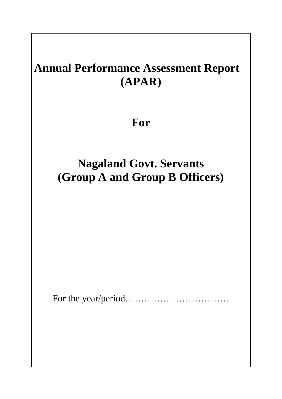# **Annual Performance Assessment Report (APAR)**

## **For**

## **Nagaland Govt. Servants (Group A and Group B Officers)**

For the year/period……………………………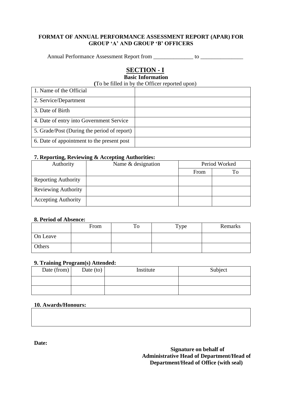#### **FORMAT OF ANNUAL PERFORMANCE ASSESSMENT REPORT (APAR) FOR GROUP 'A' AND GROUP 'B' OFFICERS**

Annual Performance Assessment Report from \_\_\_\_\_\_\_\_\_\_\_\_\_\_ to \_\_\_\_\_\_\_\_\_\_\_\_\_\_\_

## **SECTION - I**

## **Basic Information**

| (To be filled in by the Officer reported upon) |
|------------------------------------------------|
|------------------------------------------------|

| 1. Name of the Official                     |  |
|---------------------------------------------|--|
| 2. Service/Department                       |  |
| 3. Date of Birth                            |  |
| 4. Date of entry into Government Service    |  |
| 5. Grade/Post (During the period of report) |  |
| 6. Date of appointment to the present post  |  |

#### **7. Reporting, Reviewing & Accepting Authorities:**

| Authority                  | Name & designation | Period Worked |    |
|----------------------------|--------------------|---------------|----|
|                            |                    | From          | Го |
| <b>Reporting Authority</b> |                    |               |    |
| <b>Reviewing Authority</b> |                    |               |    |
| <b>Accepting Authority</b> |                    |               |    |

#### **8. Period of Absence:**

|          | From | To | Type | Remarks |
|----------|------|----|------|---------|
| On Leave |      |    |      |         |
| Others   |      |    |      |         |

#### **9. Training Program(s) Attended:**

| Date (from) $\vert$ | Date $(to)$ | Institute | Subject |
|---------------------|-------------|-----------|---------|
|                     |             |           |         |
|                     |             |           |         |

#### **10. Awards/Honours:**

**Date:**

**Signature on behalf of Administrative Head of Department/Head of Department/Head of Office (with seal)**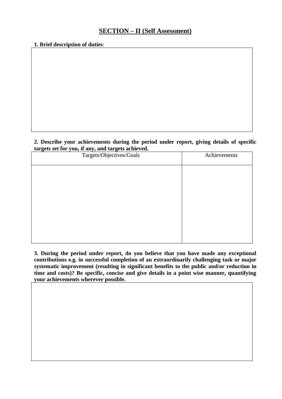### **SECTION – II (Self Assessment)**

#### **1. Brief description of duties**:

#### **2. Describe your achievements during the period under report, giving details of specific targets set for you, if any, and targets achieved.**

| Targets/Objectives/Goals | Achievements |
|--------------------------|--------------|
|                          |              |
|                          |              |
|                          |              |
|                          |              |
|                          |              |
|                          |              |
|                          |              |

**3. During the period under report, do you believe that you have made any exceptional contributions e.g. in successful completion of an extraordinarily challenging task or major systematic improvement (resulting in significant benefits to the public and/or reduction in time and costs)? Be specific, concise and give details in a point wise manner, quantifying your achievements wherever possible.**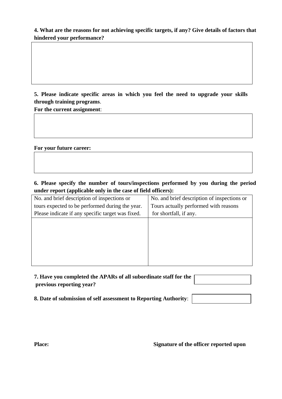**4. What are the reasons for not achieving specific targets, if any? Give details of factors that hindered your performance?** 

**5. Please indicate specific areas in which you feel the need to upgrade your skills through training programs**.

**For the current assignment**:

#### **For your future career:**

**6. Please specify the number of tours/inspections performed by you during the period under report (applicable only in the case of field officers):**

| No. and brief description of inspections or       | No. and brief description of inspections or |
|---------------------------------------------------|---------------------------------------------|
| tours expected to be performed during the year.   | Tours actually performed with reasons       |
| Please indicate if any specific target was fixed. | for shortfall, if any.                      |
|                                                   |                                             |
|                                                   |                                             |
|                                                   |                                             |
|                                                   |                                             |
|                                                   |                                             |
|                                                   |                                             |

| 7. Have you completed the APARs of all subordinate staff for the |  |
|------------------------------------------------------------------|--|
| previous reporting year?                                         |  |

**8. Date of submission of self assessment to Reporting Authority**:

**Place:** Signature of the officer reported upon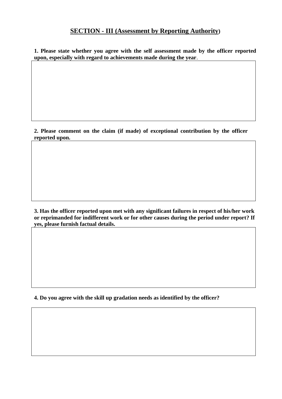## **SECTION - III (Assessment by Reporting Authority)**

**1. Please state whether you agree with the self assessment made by the officer reported upon, especially with regard to achievements made during the year**.

**2. Please comment on the claim (if made) of exceptional contribution by the officer reported upon.**

**3. Has the officer reported upon met with any significant failures in respect of his/her work or reprimanded for indifferent work or for other causes during the period under report? If yes, please furnish factual details.**

**4. Do you agree with the skill up gradation needs as identified by the officer?**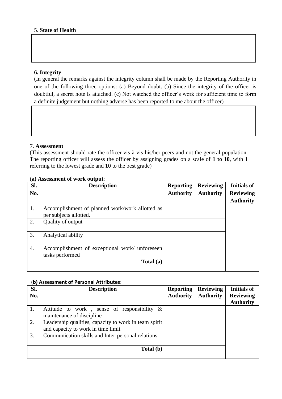#### **6. Integrity**

(In general the remarks against the integrity column shall be made by the Reporting Authority in one of the following three options: (a) Beyond doubt. (b) Since the integrity of the officer is doubtful, a secret note is attached. (c) Not watched the officer's work for sufficient time to form a definite judgement but nothing adverse has been reported to me about the officer)

#### 7. **Assessment**

(This assessment should rate the officer vis-à-vis his/her peers and not the general population. The reporting officer will assess the officer by assigning grades on a scale of **1 to 10**, with **1** referring to the lowest grade and **10** to the best grade)

| SI. | <b>Description</b>                              | <b>Reporting</b> | <b>Reviewing</b> | <b>Initials of</b> |
|-----|-------------------------------------------------|------------------|------------------|--------------------|
| No. |                                                 | <b>Authority</b> | <b>Authority</b> | <b>Reviewing</b>   |
|     |                                                 |                  |                  | <b>Authority</b>   |
| 1.  | Accomplishment of planned work/work allotted as |                  |                  |                    |
|     | per subjects allotted.                          |                  |                  |                    |
| 2.  | Quality of output                               |                  |                  |                    |
| 3.  | Analytical ability                              |                  |                  |                    |
| 4.  | Accomplishment of exceptional work/ unforeseen  |                  |                  |                    |
|     | tasks performed                                 |                  |                  |                    |
|     | Total (a)                                       |                  |                  |                    |

#### (**a) Assessment of work output**:

#### (**b) Assessment of Personal Attributes**:

| Sl.<br>No. | <b>Description</b>                                                                          | <b>Reporting</b><br><b>Authority</b> | <b>Reviewing</b><br><b>Authority</b> | <b>Initials of</b><br><b>Reviewing</b> |
|------------|---------------------------------------------------------------------------------------------|--------------------------------------|--------------------------------------|----------------------------------------|
|            |                                                                                             |                                      |                                      | <b>Authority</b>                       |
| 1.         | Attitude to work, sense of responsibility $\&$<br>maintenance of discipline                 |                                      |                                      |                                        |
| 2.         | Leadership qualities, capacity to work in team spirit<br>and capacity to work in time limit |                                      |                                      |                                        |
| 3.         | Communication skills and Inter-personal relations                                           |                                      |                                      |                                        |
|            | Total (b)                                                                                   |                                      |                                      |                                        |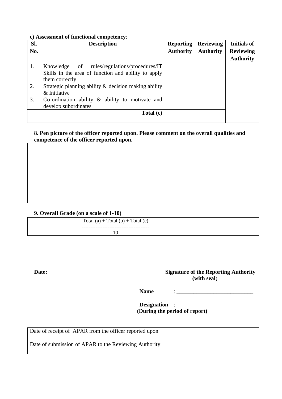#### **c) Assessment of functional competency**:

| SI. | <b>Description</b>                                   | <b>Reporting</b> | <b>Reviewing</b> | <b>Initials of</b> |
|-----|------------------------------------------------------|------------------|------------------|--------------------|
| No. |                                                      | <b>Authority</b> | <b>Authority</b> | <b>Reviewing</b>   |
|     |                                                      |                  |                  | <b>Authority</b>   |
| 1.  | Knowledge of rules/regulations/procedures/IT         |                  |                  |                    |
|     | Skills in the area of function and ability to apply  |                  |                  |                    |
|     | them correctly                                       |                  |                  |                    |
| 2.  | Strategic planning ability & decision making ability |                  |                  |                    |
|     | & Initiative                                         |                  |                  |                    |
| 3.  | Co-ordination ability $\&$ ability to motivate and   |                  |                  |                    |
|     | develop subordinates                                 |                  |                  |                    |
|     | Total (c)                                            |                  |                  |                    |
|     |                                                      |                  |                  |                    |

#### **8. Pen picture of the officer reported upon. Please comment on the overall qualities and competence of the officer reported upon.**

#### **9. Overall Grade (on a scale of 1-10)**

| Total $(a)$ + Total $(b)$ + Total $(c)$ |  |
|-----------------------------------------|--|
|                                         |  |
| 10                                      |  |
|                                         |  |

#### **Date: Signature of the Reporting Authority (with seal**)

**Name** : \_\_\_\_\_\_\_\_\_\_\_\_\_\_\_\_\_\_\_\_\_\_\_\_\_\_\_

**Designation** : \_\_\_\_\_\_\_\_\_\_\_\_\_\_\_\_\_\_\_\_\_\_\_\_\_\_\_ **(During the period of report)**

| Date of receipt of APAR from the officer reported upon |  |
|--------------------------------------------------------|--|
| Date of submission of APAR to the Reviewing Authority  |  |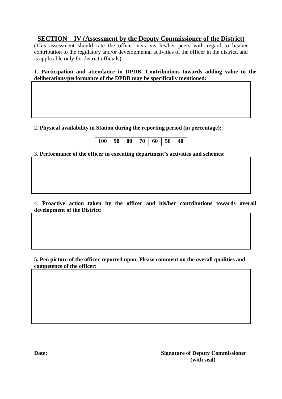## **SECTION – IV (Assessment by the Deputy Commissioner of the District)**

(This assessment should rate the officer vis-à-vis his/her peers with regard to his/her contribution to the regulatory and/or developmental activities of the officer in the district, and is applicable only for district officials)

1. **Participation and attendance in DPDB. Contributions towards adding value to the deliberations/performance of the DPDB may be specifically mentioned:**

#### 2. **Physical availability in Station during the reporting period (in percentage):**

| $100$   90   80   70   60   50   40 |
|-------------------------------------|
|-------------------------------------|

#### 3. **Performance of the officer in executing department's activities and schemes:**

4. **Proactive action taken by the officer and his/her contributions towards overall development of the District:**

**5. Pen picture of the officer reported upon. Please comment on the overall qualities and competence of the officer:**

**Date: Signature of Deputy Commissioner (with seal)**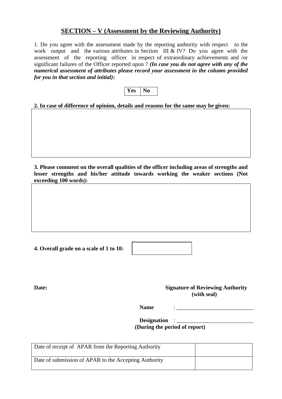### **SECTION – V (Assessment by the Reviewing Authority)**

1. Do you agree with the assessment made by the reporting authority with respect to the work output and the various attributes in Section III & IV? Do you agree with the assessment of the reporting officer in respect of extraordinary achievements and /or significant failures of the Officer reported upon ? *(In case you do not agree with any of the numerical assessment of attributes please record your assessment in the column provided for you in that section and initial)***:**



**2. In case of difference of opinion, details and reasons for the same may be given:**

**3. Please comment on the overall qualities of the officer including areas of strengths and lesser strengths and his/her attitude towards working the weaker sections (Not exceeding 100 words):**

**4. Overall grade on a scale of 1 to 10:** 

**Date: Signature of Reviewing Authority (with seal)**

**Name** :  $\therefore$ 

**Designation** : **(During the period of report)**

| Date of receipt of APAR from the Reporting Authority  |  |
|-------------------------------------------------------|--|
| Date of submission of APAR to the Accepting Authority |  |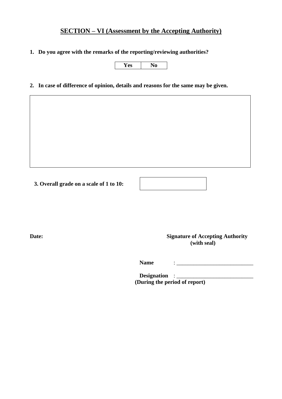## **SECTION – VI (Assessment by the Accepting Authority)**

**1. Do you agree with the remarks of the reporting/reviewing authorities?**

**Yes No** 

**2. In case of difference of opinion, details and reasons for the same may be given.**

**3. Overall grade on a scale of 1 to 10:**

**Date: Signature of Accepting Authority (with seal)**

**Name** :  $\therefore$ 

**Designation** : \_\_\_\_\_\_\_\_\_\_\_\_\_\_\_\_\_\_\_\_\_\_\_\_\_\_\_ **(During the period of report)**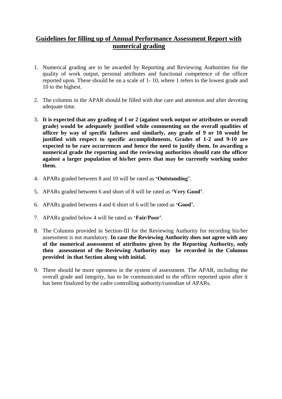### **Guidelines for filling up of Annual Performance Assessment Report with numerical grading**

- 1. Numerical grading are to be awarded by Reporting and Reviewing Authorities for the quality of work output, personal attributes and functional competence of the officer reported upon. These should be on a scale of 1- 10, where 1 refers to the lowest grade and 10 to the highest.
- 2. The columns in the APAR should be filled with due care and attention and after devoting adequate time.
- 3. **It is expected that any grading of 1 or 2 (against work output or attributes or overall grade) would be adequately justified while commenting on the overall qualities of officer by way of specific failures and similarly, any grade of 9 or 10 would be justified with respect to specific accomplishments. Grades of 1-2 and 9-10 are expected to be rare occurrences and hence the need to justify them. In awarding a numerical grade the reporting and the reviewing authorities should rate the officer against a larger population of his/her peers that may be currently working under them.**
- 4. APARs graded between 8 and 10 will be rated as **'Outstanding'**.
- 5. APARs graded between 6 and short of 8 will be rated as **'Very Good'**.
- 6. APARs graded between 4 and 6 short of 6 will be rated as **'Good'.**
- 7. APARs graded below 4 will be rated as **'Fair/Poor'**.
- 8. The Columns provided in Section-III for the Reviewing Authority for recording his/her assessment is not mandatory. **In case the Reviewing Authority does not agree with any of the numerical assessment of attributes given by the Reporting Authority, only then assessment of the Reviewing Authority may be recorded in the Columns provided in that Section along with initial.**
- 9. There should be more openness in the system of assessment. The APAR, including the overall grade and integrity, has to be communicated to the officer reported upon after it has been finalized by the cadre controlling authority/custodian of APARs.